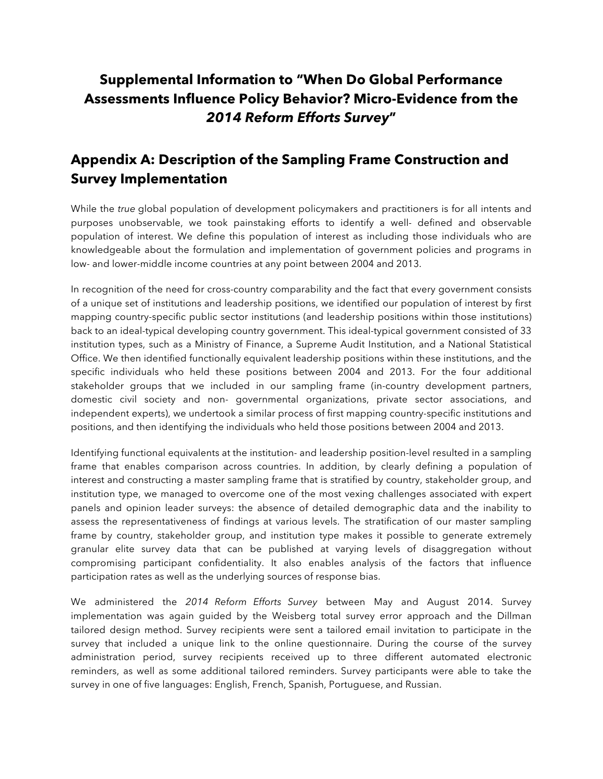# **Supplemental Information to "When Do Global Performance Assessments Influence Policy Behavior? MicroEvidence from the**  *2014 Reform Efforts Survey***"**

## **Appendix A: Description of the Sampling Frame Construction and Survey Implementation**

While the *true* global population of development policymakers and practitioners is for all intents and purposes unobservable, we took painstaking efforts to identify a well- defined and observable population of interest. We define this population of interest as including those individuals who are knowledgeable about the formulation and implementation of government policies and programs in low- and lower-middle income countries at any point between 2004 and 2013.

In recognition of the need for cross-country comparability and the fact that every government consists of a unique set of institutions and leadership positions, we identified our population of interest by first mapping country-specific public sector institutions (and leadership positions within those institutions) back to an ideal-typical developing country government. This ideal-typical government consisted of 33 institution types, such as a Ministry of Finance, a Supreme Audit Institution, and a National Statistical Office. We then identified functionally equivalent leadership positions within these institutions, and the specific individuals who held these positions between 2004 and 2013. For the four additional stakeholder groups that we included in our sampling frame (in-country development partners, domestic civil society and non- governmental organizations, private sector associations, and independent experts), we undertook a similar process of first mapping country-specific institutions and positions, and then identifying the individuals who held those positions between 2004 and 2013.

Identifying functional equivalents at the institution- and leadership position-level resulted in a sampling frame that enables comparison across countries. In addition, by clearly defining a population of interest and constructing a master sampling frame that is stratified by country, stakeholder group, and institution type, we managed to overcome one of the most vexing challenges associated with expert panels and opinion leader surveys: the absence of detailed demographic data and the inability to assess the representativeness of findings at various levels. The stratification of our master sampling frame by country, stakeholder group, and institution type makes it possible to generate extremely granular elite survey data that can be published at varying levels of disaggregation without compromising participant confidentiality. It also enables analysis of the factors that influence participation rates as well as the underlying sources of response bias.

We administered the *2014 Reform Efforts Survey* between May and August 2014. Survey implementation was again guided by the Weisberg total survey error approach and the Dillman tailored design method. Survey recipients were sent a tailored email invitation to participate in the survey that included a unique link to the online questionnaire. During the course of the survey administration period, survey recipients received up to three different automated electronic reminders, as well as some additional tailored reminders. Survey participants were able to take the survey in one of five languages: English, French, Spanish, Portuguese, and Russian.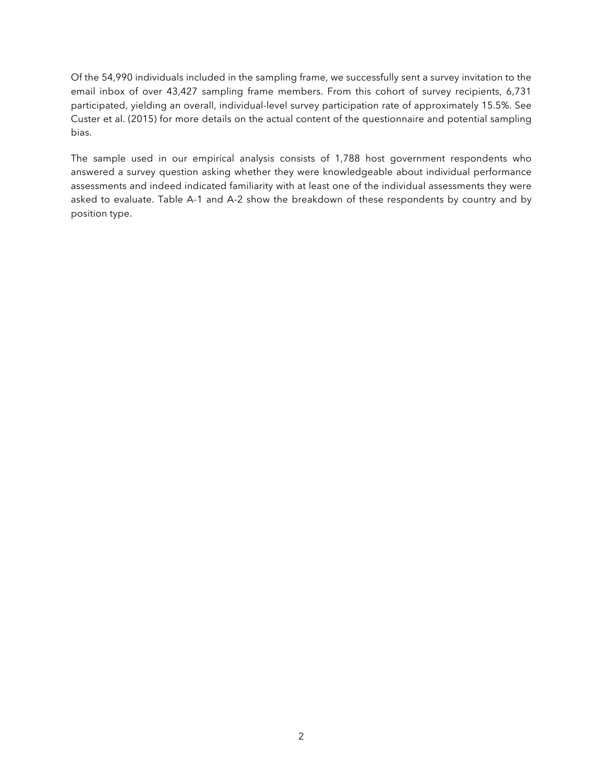Of the 54,990 individuals included in the sampling frame, we successfully sent a survey invitation to the email inbox of over 43,427 sampling frame members. From this cohort of survey recipients, 6,731 participated, yielding an overall, individual-level survey participation rate of approximately 15.5%. See Custer et al. (2015) for more details on the actual content of the questionnaire and potential sampling bias.

The sample used in our empirical analysis consists of 1,788 host government respondents who answered a survey question asking whether they were knowledgeable about individual performance assessments and indeed indicated familiarity with at least one of the individual assessments they were asked to evaluate. Table A-1 and A-2 show the breakdown of these respondents by country and by position type.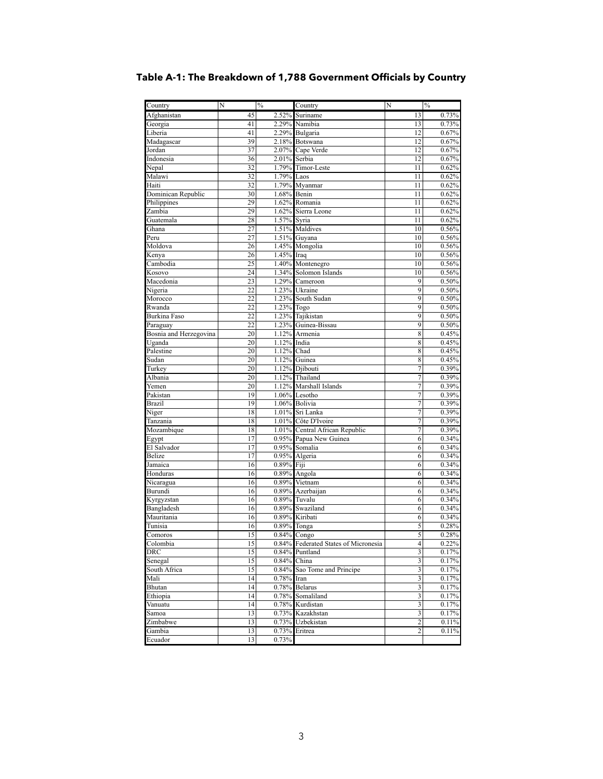| Country                | N               | $\%$           | Country                                | N                       | $\%$           |
|------------------------|-----------------|----------------|----------------------------------------|-------------------------|----------------|
| Afghanistan            | 45              |                | 2.52% Suriname                         | 13                      | 0.73%          |
| Georgia                | 41              |                | 2.29% Namibia                          | 13                      | 0.73%          |
| Liberia                | 41              |                | 2.29% Bulgaria                         | 12                      | 0.67%          |
| Madagascar             | 39              |                | 2.18% Botswana                         | 12                      | 0.67%          |
| Jordan                 | 37              |                | 2.07% Cape Verde                       | 12                      | 0.67%          |
| Indonesia              | 36              | 2.01% Serbia   |                                        | 12                      | 0.67%          |
| Nepal                  | $\overline{32}$ |                | 1.79% Timor-Leste                      | 11                      | 0.62%          |
| Malawi                 | 32              | 1.79% Laos     |                                        | 11                      | 0.62%          |
| Haiti                  | 32              |                | 1.79% Myanmar                          | 11                      | 0.62%          |
| Dominican Republic     | 30              | 1.68% Benin    |                                        | 11                      | 0.62%          |
| Philippines            | 29              |                | 1.62% Romania                          | 11                      | 0.62%          |
| Zambia                 | 29              |                | 1.62% Sierra Leone                     | 11                      | 0.62%          |
| Guatemala              | 28              | 1.57% Syria    |                                        | 11                      | 0.62%          |
| Ghana                  | 27              |                | 1.51% Maldives                         | 10                      | 0.56%          |
| Peru                   | 27              |                | $1.51\%$ Guyana                        | 10                      | 0.56%          |
| Moldova                | 26              |                | 1.45% Mongolia                         | 10                      | 0.56%          |
| Kenya                  | 26              | $1.45%$ Iraq   |                                        | 10                      | 0.56%          |
| Cambodia               | 25              |                | 1.40% Montenegro                       | 10                      | 0.56%          |
| Kosovo                 | 24              |                | 1.34% Solomon Islands                  | 10                      | 0.56%          |
| Macedonia              | $\overline{23}$ |                | 1.29% Cameroon                         | $\overline{9}$          | 0.50%          |
| Nigeria                | 22              |                | 1.23% Ukraine                          | 9                       | 0.50%          |
| Morocco                | 22              |                | 1.23% South Sudan                      | $\overline{9}$          | 0.50%          |
| Rwanda                 | 22              | 1.23% Togo     |                                        | $\overline{9}$          | 0.50%          |
| Burkina Faso           | $\overline{22}$ |                | 1.23% Tajikistan                       | $\overline{9}$          | 0.50%          |
| Paraguay               | 22              |                | 1.23% Guinea-Bissau                    | 9                       | 0.50%          |
| Bosnia and Herzegovina | 20              |                | 1.12% Armenia                          | $\overline{8}$          | 0.45%          |
| Uganda                 | 20              | 1.12% India    |                                        | 8                       | 0.45%          |
| Palestine              | 20              | 1.12% Chad     |                                        | 8                       | 0.45%          |
| Sudan                  | 20              |                | 1.12% Guinea                           | 8                       | 0.45%          |
| Turkey                 | 20              |                | 1.12% Djibouti                         | 7                       | 0.39%          |
| Albania                | 20              |                | 1.12% Thailand                         | 7                       | 0.39%          |
| Yemen                  | 20              |                | 1.12% Marshall Islands                 | 7                       | $0.39\%$       |
| Pakistan               | 19              |                | 1.06% Lesotho                          | 7                       | 0.39%          |
| <b>Brazil</b>          | 19              |                | 1.06% Bolivia                          | 7                       | 0.39%          |
| Niger                  | 18<br>18        |                | 1.01% Sri Lanka<br>1.01% Côte D'Ivoire | 7<br>7                  | 0.39%          |
| Tanzania               | 18              |                | 1.01% Central African Republic         | 7                       | 0.39%<br>0.39% |
| Mozambique             | 17              |                | 0.95% Papua New Guinea                 | 6                       | 0.34%          |
| Egypt<br>El Salvador   | 17              |                | 0.95% Somalia                          | 6                       | 0.34%          |
| <b>Belize</b>          | 17              |                | 0.95% Algeria                          | 6                       | 0.34%          |
| Jamaica                | 16              | 0.89% Fiji     |                                        | 6                       | 0.34%          |
| Honduras               | 16              |                | 0.89% Angola                           | 6                       | 0.34%          |
| Nicaragua              | 16              |                | 0.89% Vietnam                          | 6                       | 0.34%          |
| Burundi                | 16              |                | 0.89% Azerbaijan                       | 6                       | 0.34%          |
| Kyrgyzstan             | 16              |                | 0.89% Tuvalu                           | 6                       | 0.34%          |
| Bangladesh             | 16              |                | 0.89% Swaziland                        | 6                       | 0.34%          |
| Mauritania             | 16              |                | 0.89% Kiribati                         | 6                       | 0.34%          |
| Tunisia                | 16              | 0.89% Tonga    |                                        | 5                       | 0.28%          |
| Comoros                | $\overline{15}$ | 0.84% Congo    |                                        | 5                       | 0.28%          |
| Colombia               | 15              |                | 0.84% Federated States of Micronesia   | 4                       | $0.22\%$       |
| <b>DRC</b>             | 15              |                | 0.84% Puntland                         | $\overline{\mathbf{3}}$ | 0.17%          |
| Senegal                | 15              | $0.84\%$ China |                                        | 3                       | 0.17%          |
| South Africa           | 15              |                | 0.84% Sao Tome and Principe            | $\overline{\mathbf{3}}$ | 0.17%          |
| Mali                   | 14              | 0.78% Iran     |                                        | 3                       | 0.17%          |
| Bhutan                 | 14              |                | 0.78% Belarus                          | 3                       | 0.17%          |
| Ethiopia               | 14              |                | 0.78% Somaliland                       | 3                       | 0.17%          |
| Vanuatu                | 14              |                | 0.78% Kurdistan                        | 3                       | 0.17%          |
| Samoa                  | 13              |                | 0.73% Kazakhstan                       | $\mathfrak{Z}$          | 0.17%          |
| Zimbabwe               | 13              |                | 0.73% Uzbekistan                       | 2                       | 0.11%          |
| Gambia                 | 13              |                | 0.73% Eritrea                          | 2                       | 0.11%          |
| Ecuador                | 13              | 0.73%          |                                        |                         |                |
|                        |                 |                |                                        |                         |                |

### **Table A-1: The Breakdown of 1,788 Government Officials by Country**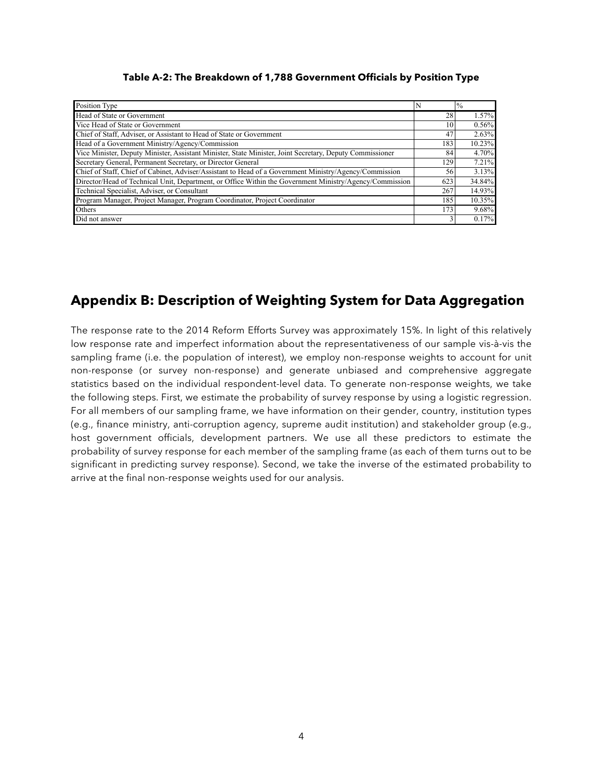| Position Type                                                                                            |     | 10/0   |
|----------------------------------------------------------------------------------------------------------|-----|--------|
| Head of State or Government                                                                              | 28  | 1.57%  |
| Vice Head of State or Government                                                                         | 10  | 0.56%  |
| Chief of Staff, Adviser, or Assistant to Head of State or Government                                     | 47  | 2.63%  |
| Head of a Government Ministry/Agency/Commission                                                          | 183 | 10.23% |
| Vice Minister, Deputy Minister, Assistant Minister, State Minister, Joint Secretary, Deputy Commissioner | 84  | 4.70%  |
| Secretary General, Permanent Secretary, or Director General                                              | 129 | 7.21%  |
| Chief of Staff, Chief of Cabinet, Adviser/Assistant to Head of a Government Ministry/Agency/Commission   | 56  | 3.13%  |
| Director/Head of Technical Unit, Department, or Office Within the Government Ministry/Agency/Commission  | 623 | 34.84% |
| Technical Specialist, Adviser, or Consultant                                                             | 267 | 14.93% |
| Program Manager, Project Manager, Program Coordinator, Project Coordinator                               | 185 | 10.35% |
| Others                                                                                                   | 173 | 9.68%  |
| Did not answer                                                                                           |     | 0.17%  |

**Table A-2: The Breakdown of 1,788 Government Officials by Position Type**

## **Appendix B: Description of Weighting System for Data Aggregation**

The response rate to the 2014 Reform Efforts Survey was approximately 15%. In light of this relatively low response rate and imperfect information about the representativeness of our sample vis-à-vis the sampling frame (i.e. the population of interest), we employ non-response weights to account for unit non-response (or survey non-response) and generate unbiased and comprehensive aggregate statistics based on the individual respondent-level data. To generate non-response weights, we take the following steps. First, we estimate the probability of survey response by using a logistic regression. For all members of our sampling frame, we have information on their gender, country, institution types (e.g., finance ministry, anti-corruption agency, supreme audit institution) and stakeholder group (e.g., host government officials, development partners. We use all these predictors to estimate the probability of survey response for each member of the sampling frame (as each of them turns out to be significant in predicting survey response). Second, we take the inverse of the estimated probability to arrive at the final non-response weights used for our analysis.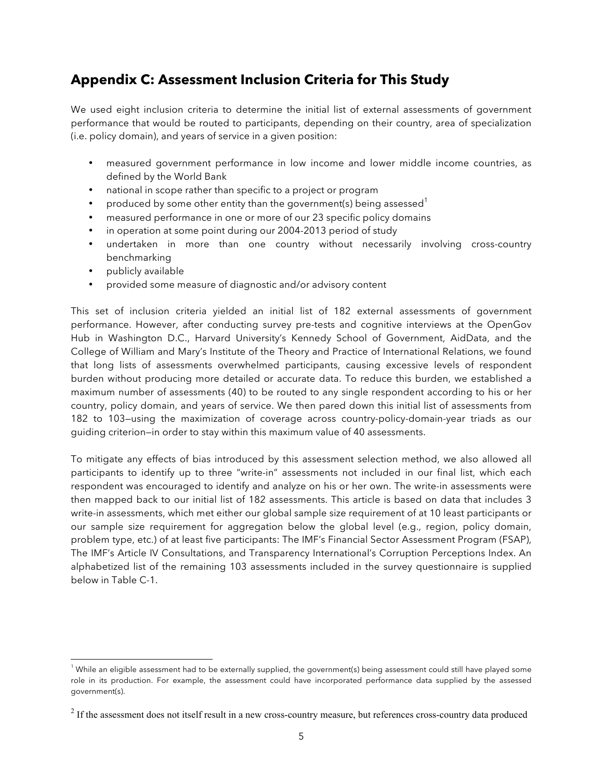## **Appendix C: Assessment Inclusion Criteria for This Study**

We used eight inclusion criteria to determine the initial list of external assessments of government performance that would be routed to participants, depending on their country, area of specialization (i.e. policy domain), and years of service in a given position:

- measured government performance in low income and lower middle income countries, as defined by the World Bank
- national in scope rather than specific to a project or program
- produced by some other entity than the government(s) being assessed  $1$
- measured performance in one or more of our 23 specific policy domains
- in operation at some point during our 2004-2013 period of study
- undertaken in more than one country without necessarily involving cross-country benchmarking
- publicly available

 $\overline{a}$ 

• provided some measure of diagnostic and/or advisory content

This set of inclusion criteria yielded an initial list of 182 external assessments of government performance. However, after conducting survey pre-tests and cognitive interviews at the OpenGov Hub in Washington D.C., Harvard University's Kennedy School of Government, AidData, and the College of William and Mary's Institute of the Theory and Practice of International Relations, we found that long lists of assessments overwhelmed participants, causing excessive levels of respondent burden without producing more detailed or accurate data. To reduce this burden, we established a maximum number of assessments (40) to be routed to any single respondent according to his or her country, policy domain, and years of service. We then pared down this initial list of assessments from 182 to 103—using the maximization of coverage across country-policy-domain-year triads as our guiding criterion—in order to stay within this maximum value of 40 assessments.

To mitigate any effects of bias introduced by this assessment selection method, we also allowed all participants to identify up to three "write-in" assessments not included in our final list, which each respondent was encouraged to identify and analyze on his or her own. The write-in assessments were then mapped back to our initial list of 182 assessments. This article is based on data that includes 3 write-in assessments, which met either our global sample size requirement of at 10 least participants or our sample size requirement for aggregation below the global level (e.g., region, policy domain, problem type, etc.) of at least five participants: The IMF's Financial Sector Assessment Program (FSAP), The IMF's Article IV Consultations, and Transparency International's Corruption Perceptions Index. An alphabetized list of the remaining 103 assessments included in the survey questionnaire is supplied below in Table C-1.

 $1$  While an eligible assessment had to be externally supplied, the government(s) being assessment could still have played some role in its production. For example, the assessment could have incorporated performance data supplied by the assessed government(s).

<sup>&</sup>lt;sup>2</sup> If the assessment does not itself result in a new cross-country measure, but references cross-country data produced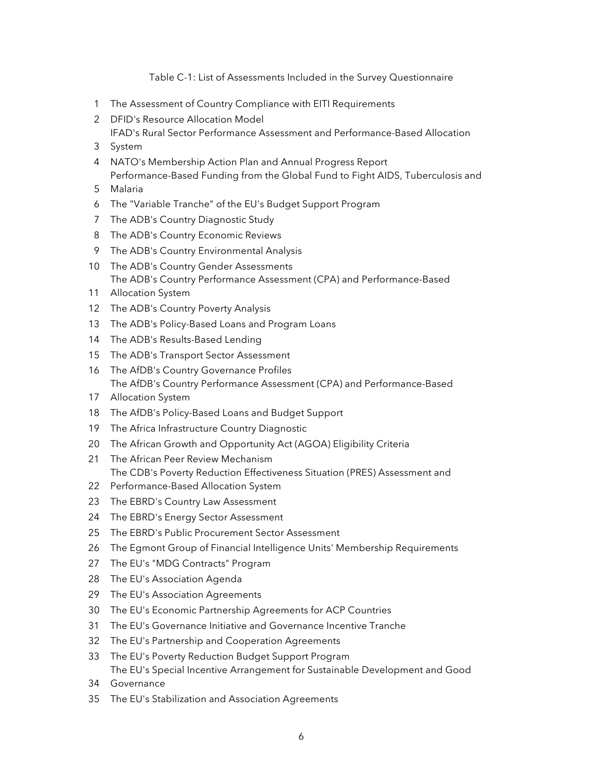Table C-1: List of Assessments Included in the Survey Questionnaire

- The Assessment of Country Compliance with EITI Requirements
- DFID's Resource Allocation Model IFAD's Rural Sector Performance Assessment and Performance-Based Allocation
- System
- NATO's Membership Action Plan and Annual Progress Report Performance-Based Funding from the Global Fund to Fight AIDS, Tuberculosis and
- Malaria
- The "Variable Tranche" of the EU's Budget Support Program
- The ADB's Country Diagnostic Study
- The ADB's Country Economic Reviews
- The ADB's Country Environmental Analysis
- The ADB's Country Gender Assessments The ADB's Country Performance Assessment (CPA) and Performance-Based
- Allocation System
- The ADB's Country Poverty Analysis
- The ADB's Policy-Based Loans and Program Loans
- The ADB's Results-Based Lending
- The ADB's Transport Sector Assessment
- The AfDB's Country Governance Profiles The AfDB's Country Performance Assessment (CPA) and Performance-Based
- Allocation System
- The AfDB's Policy-Based Loans and Budget Support
- The Africa Infrastructure Country Diagnostic
- 20 The African Growth and Opportunity Act (AGOA) Eligibility Criteria
- The African Peer Review Mechanism The CDB's Poverty Reduction Effectiveness Situation (PRES) Assessment and
- Performance-Based Allocation System
- The EBRD's Country Law Assessment
- The EBRD's Energy Sector Assessment
- The EBRD's Public Procurement Sector Assessment
- The Egmont Group of Financial Intelligence Units' Membership Requirements
- The EU's "MDG Contracts" Program
- The EU's Association Agenda
- The EU's Association Agreements
- The EU's Economic Partnership Agreements for ACP Countries
- The EU's Governance Initiative and Governance Incentive Tranche
- The EU's Partnership and Cooperation Agreements
- The EU's Poverty Reduction Budget Support Program The EU's Special Incentive Arrangement for Sustainable Development and Good
- Governance
- The EU's Stabilization and Association Agreements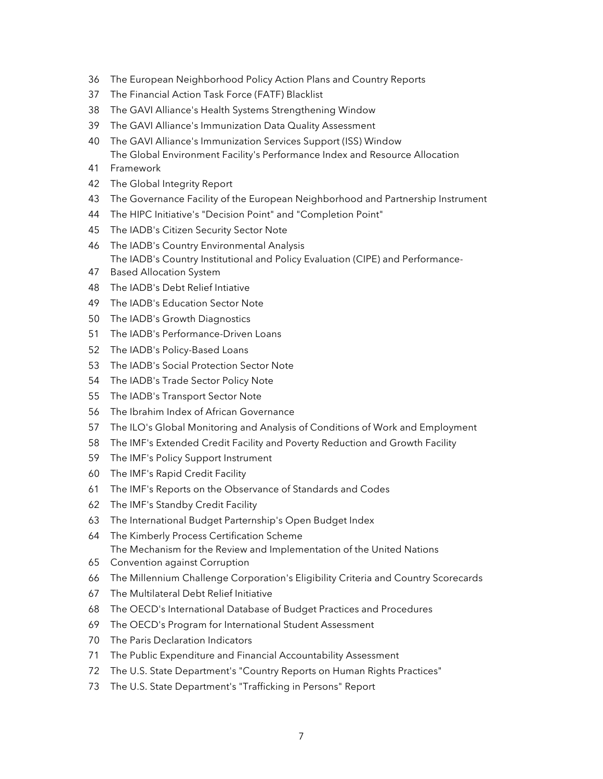- The European Neighborhood Policy Action Plans and Country Reports
- The Financial Action Task Force (FATF) Blacklist
- The GAVI Alliance's Health Systems Strengthening Window
- The GAVI Alliance's Immunization Data Quality Assessment
- The GAVI Alliance's Immunization Services Support (ISS) Window The Global Environment Facility's Performance Index and Resource Allocation
- Framework
- The Global Integrity Report
- The Governance Facility of the European Neighborhood and Partnership Instrument
- The HIPC Initiative's "Decision Point" and "Completion Point"
- The IADB's Citizen Security Sector Note
- The IADB's Country Environmental Analysis The IADB's Country Institutional and Policy Evaluation (CIPE) and Performance-
- Based Allocation System
- The IADB's Debt Relief Intiative
- The IADB's Education Sector Note
- The IADB's Growth Diagnostics
- The IADB's Performance-Driven Loans
- The IADB's Policy-Based Loans
- The IADB's Social Protection Sector Note
- The IADB's Trade Sector Policy Note
- The IADB's Transport Sector Note
- The Ibrahim Index of African Governance
- The ILO's Global Monitoring and Analysis of Conditions of Work and Employment
- The IMF's Extended Credit Facility and Poverty Reduction and Growth Facility
- The IMF's Policy Support Instrument
- The IMF's Rapid Credit Facility
- The IMF's Reports on the Observance of Standards and Codes
- The IMF's Standby Credit Facility
- The International Budget Parternship's Open Budget Index
- The Kimberly Process Certification Scheme The Mechanism for the Review and Implementation of the United Nations
- Convention against Corruption
- The Millennium Challenge Corporation's Eligibility Criteria and Country Scorecards
- The Multilateral Debt Relief Initiative
- The OECD's International Database of Budget Practices and Procedures
- The OECD's Program for International Student Assessment
- The Paris Declaration Indicators
- The Public Expenditure and Financial Accountability Assessment
- The U.S. State Department's "Country Reports on Human Rights Practices"
- The U.S. State Department's "Trafficking in Persons" Report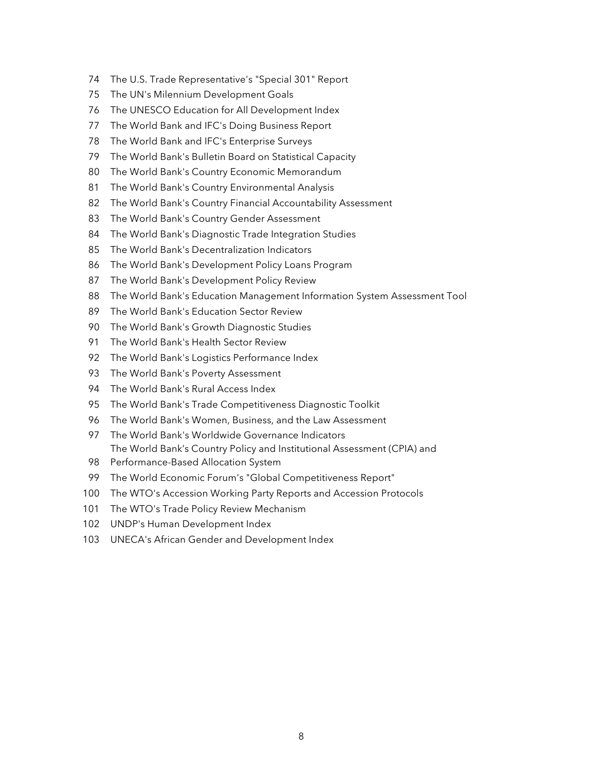- The U.S. Trade Representative's "Special 301" Report
- The UN's Milennium Development Goals
- The UNESCO Education for All Development Index
- The World Bank and IFC's Doing Business Report
- The World Bank and IFC's Enterprise Surveys
- The World Bank's Bulletin Board on Statistical Capacity
- The World Bank's Country Economic Memorandum
- The World Bank's Country Environmental Analysis
- The World Bank's Country Financial Accountability Assessment
- The World Bank's Country Gender Assessment
- The World Bank's Diagnostic Trade Integration Studies
- The World Bank's Decentralization Indicators
- The World Bank's Development Policy Loans Program
- The World Bank's Development Policy Review
- The World Bank's Education Management Information System Assessment Tool
- The World Bank's Education Sector Review
- The World Bank's Growth Diagnostic Studies
- The World Bank's Health Sector Review
- The World Bank's Logistics Performance Index
- The World Bank's Poverty Assessment
- The World Bank's Rural Access Index
- The World Bank's Trade Competitiveness Diagnostic Toolkit
- The World Bank's Women, Business, and the Law Assessment
- The World Bank's Worldwide Governance Indicators The World Bank's Country Policy and Institutional Assessment (CPIA) and
- Performance-Based Allocation System
- The World Economic Forum's "Global Competitiveness Report"
- The WTO's Accession Working Party Reports and Accession Protocols
- 101 The WTO's Trade Policy Review Mechanism
- UNDP's Human Development Index
- UNECA's African Gender and Development Index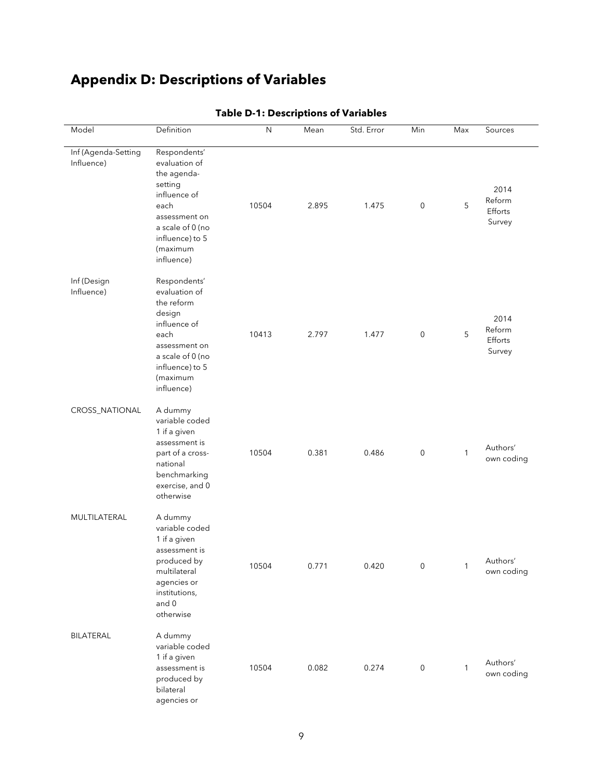# **Appendix D: Descriptions of Variables**

| Model                             | Definition                                                                                                                                                        | N     | Mean  | Std. Error | Min                 | Max          | Sources                             |
|-----------------------------------|-------------------------------------------------------------------------------------------------------------------------------------------------------------------|-------|-------|------------|---------------------|--------------|-------------------------------------|
| Inf (Agenda-Setting<br>Influence) | Respondents'<br>evaluation of<br>the agenda-<br>setting<br>influence of<br>each<br>assessment on<br>a scale of 0 (no<br>influence) to 5<br>(maximum<br>influence) | 10504 | 2.895 | 1.475      | $\pmb{0}$           | 5            | 2014<br>Reform<br>Efforts<br>Survey |
| Inf (Design<br>Influence)         | Respondents'<br>evaluation of<br>the reform<br>design<br>influence of<br>each<br>assessment on<br>a scale of 0 (no<br>influence) to 5<br>(maximum<br>influence)   | 10413 | 2.797 | 1.477      | $\mathsf{O}\xspace$ | 5            | 2014<br>Reform<br>Efforts<br>Survey |
| CROSS_NATIONAL                    | A dummy<br>variable coded<br>1 if a given<br>assessment is<br>part of a cross-<br>national<br>benchmarking<br>exercise, and 0<br>otherwise                        | 10504 | 0.381 | 0.486      | $\mathsf 0$         | 1            | Authors'<br>own coding              |
| MULTILATERAL                      | A dummy<br>variable coded<br>1 if a given<br>assessment is<br>produced by<br>multilateral<br>agencies or<br>institutions,<br>and 0<br>otherwise                   | 10504 | 0.771 | 0.420      | $\mathsf 0$         | 1            | Authors'<br>own coding              |
| BILATERAL                         | A dummy<br>variable coded<br>1 if a given<br>assessment is<br>produced by<br>bilateral<br>agencies or                                                             | 10504 | 0.082 | 0.274      | $\mathsf{O}\xspace$ | $\mathbf{1}$ | Authors'<br>own coding              |

#### **Table D-1: Descriptions of Variables**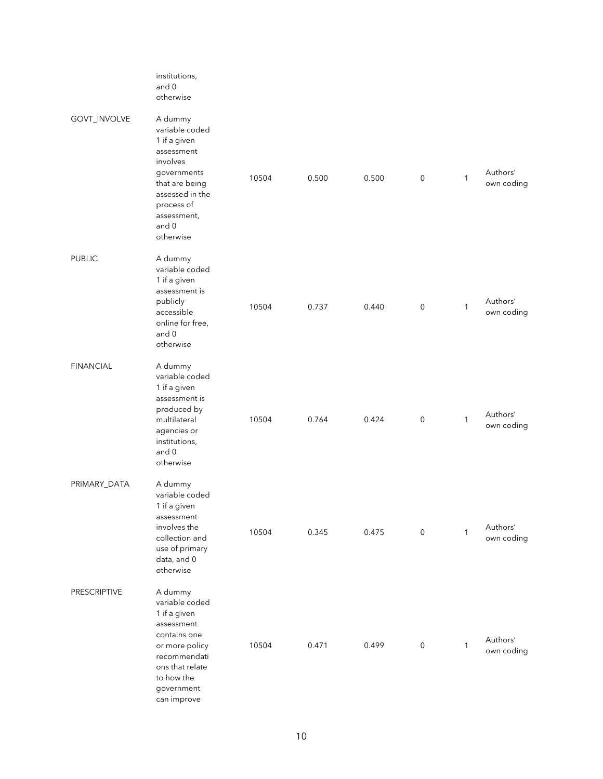|                     | institutions,<br>and 0<br>otherwise                                                                                                                                        |       |       |       |                     |              |                        |
|---------------------|----------------------------------------------------------------------------------------------------------------------------------------------------------------------------|-------|-------|-------|---------------------|--------------|------------------------|
| GOVT_INVOLVE        | A dummy<br>variable coded<br>1 if a given<br>assessment<br>involves<br>governments<br>that are being<br>assessed in the<br>process of<br>assessment,<br>and 0<br>otherwise | 10504 | 0.500 | 0.500 | $\mathsf{O}\xspace$ | $\mathbf{1}$ | Authors'<br>own coding |
| <b>PUBLIC</b>       | A dummy<br>variable coded<br>1 if a given<br>assessment is<br>publicly<br>accessible<br>online for free,<br>and 0<br>otherwise                                             | 10504 | 0.737 | 0.440 | $\mathsf{O}\xspace$ | 1            | Authors'<br>own coding |
| <b>FINANCIAL</b>    | A dummy<br>variable coded<br>1 if a given<br>assessment is<br>produced by<br>multilateral<br>agencies or<br>institutions,<br>and 0<br>otherwise                            | 10504 | 0.764 | 0.424 | $\mathsf{O}\xspace$ | $\mathbf{1}$ | Authors'<br>own coding |
| PRIMARY_DATA        | A dummy<br>variable coded<br>1 if a given<br>assessment<br>involves the<br>collection and<br>use of primary<br>data, and 0<br>otherwise                                    | 10504 | 0.345 | 0.475 | $\mathbf 0$         | $\mathbf{1}$ | Authors'<br>own coding |
| <b>PRESCRIPTIVE</b> | A dummy<br>variable coded<br>1 if a given<br>assessment<br>contains one<br>or more policy<br>recommendati<br>ons that relate<br>to how the<br>government<br>can improve    | 10504 | 0.471 | 0.499 | $\mathbf 0$         | 1            | Authors'<br>own coding |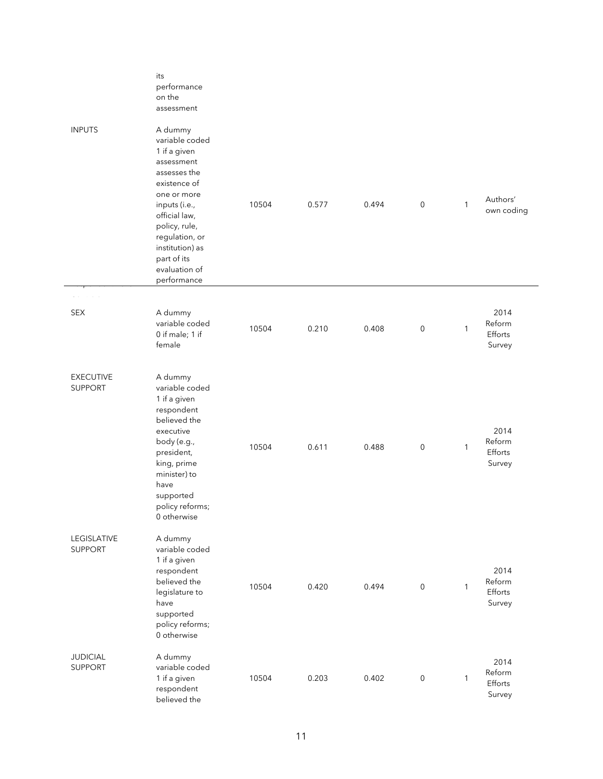|                                    | its<br>performance<br>on the<br>assessment                                                                                                                                                                                                    |       |       |       |                     |              |                                     |
|------------------------------------|-----------------------------------------------------------------------------------------------------------------------------------------------------------------------------------------------------------------------------------------------|-------|-------|-------|---------------------|--------------|-------------------------------------|
| <b>INPUTS</b>                      | A dummy<br>variable coded<br>1 if a given<br>assessment<br>assesses the<br>existence of<br>one or more<br>inputs (i.e.,<br>official law,<br>policy, rule,<br>regulation, or<br>institution) as<br>part of its<br>evaluation of<br>performance | 10504 | 0.577 | 0.494 | $\mathsf{O}\xspace$ | $\mathbf{1}$ | Authors'<br>own coding              |
|                                    |                                                                                                                                                                                                                                               |       |       |       |                     |              |                                     |
| <b>SEX</b>                         | A dummy<br>variable coded<br>0 if male; 1 if<br>female                                                                                                                                                                                        | 10504 | 0.210 | 0.408 | $\mathsf{O}\xspace$ | 1            | 2014<br>Reform<br>Efforts<br>Survey |
| <b>EXECUTIVE</b><br><b>SUPPORT</b> | A dummy<br>variable coded<br>1 if a given<br>respondent<br>believed the<br>executive<br>body (e.g.,<br>president,<br>king, prime<br>minister) to<br>have<br>supported<br>policy reforms;<br>0 otherwise                                       | 10504 | 0.611 | 0.488 | $\mathsf{O}\xspace$ | 1            | 2014<br>Reform<br>Efforts<br>Survey |
| LEGISLATIVE<br><b>SUPPORT</b>      | A dummy<br>variable coded<br>1 if a given<br>respondent<br>believed the<br>legislature to<br>have<br>supported<br>policy reforms;<br>0 otherwise                                                                                              | 10504 | 0.420 | 0.494 | $\mathsf{O}\xspace$ | 1            | 2014<br>Reform<br>Efforts<br>Survey |
| <b>JUDICIAL</b><br><b>SUPPORT</b>  | A dummy<br>variable coded<br>1 if a given<br>respondent<br>believed the                                                                                                                                                                       | 10504 | 0.203 | 0.402 | $\mathsf{O}\xspace$ | 1            | 2014<br>Reform<br>Efforts<br>Survey |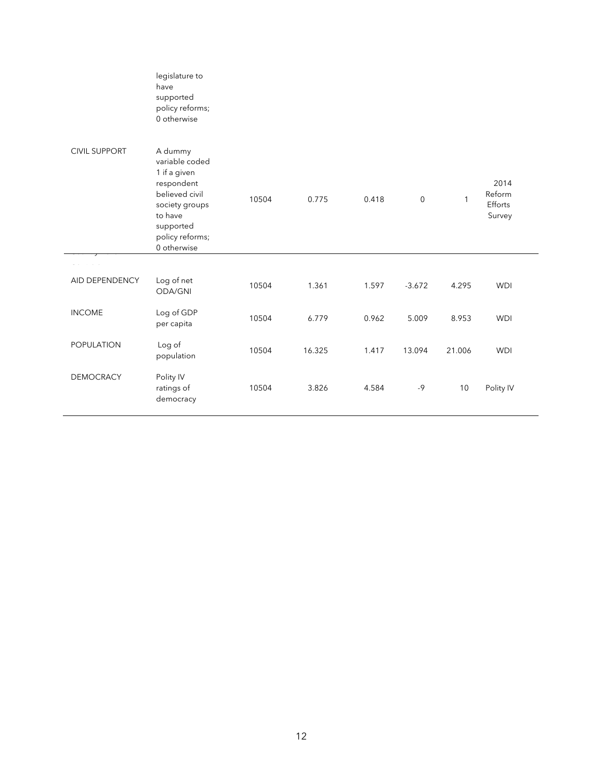|                      | legislature to<br>have<br>supported<br>policy reforms;<br>0 otherwise                                                                                 |       |        |       |             |              |                                     |
|----------------------|-------------------------------------------------------------------------------------------------------------------------------------------------------|-------|--------|-------|-------------|--------------|-------------------------------------|
| <b>CIVIL SUPPORT</b> | A dummy<br>variable coded<br>1 if a given<br>respondent<br>believed civil<br>society groups<br>to have<br>supported<br>policy reforms;<br>0 otherwise | 10504 | 0.775  | 0.418 | $\mathbf 0$ | $\mathbf{1}$ | 2014<br>Reform<br>Efforts<br>Survey |
|                      |                                                                                                                                                       |       |        |       |             |              |                                     |
| AID DEPENDENCY       | Log of net<br>ODA/GNI                                                                                                                                 | 10504 | 1.361  | 1.597 | $-3.672$    | 4.295        | <b>WDI</b>                          |
| <b>INCOME</b>        | Log of GDP<br>per capita                                                                                                                              | 10504 | 6.779  | 0.962 | 5.009       | 8.953        | <b>WDI</b>                          |
| POPULATION           | Log of<br>population                                                                                                                                  | 10504 | 16.325 | 1.417 | 13.094      | 21.006       | <b>WDI</b>                          |
| <b>DEMOCRACY</b>     | Polity IV<br>ratings of<br>democracy                                                                                                                  | 10504 | 3.826  | 4.584 | $-9$        | 10           | Polity IV                           |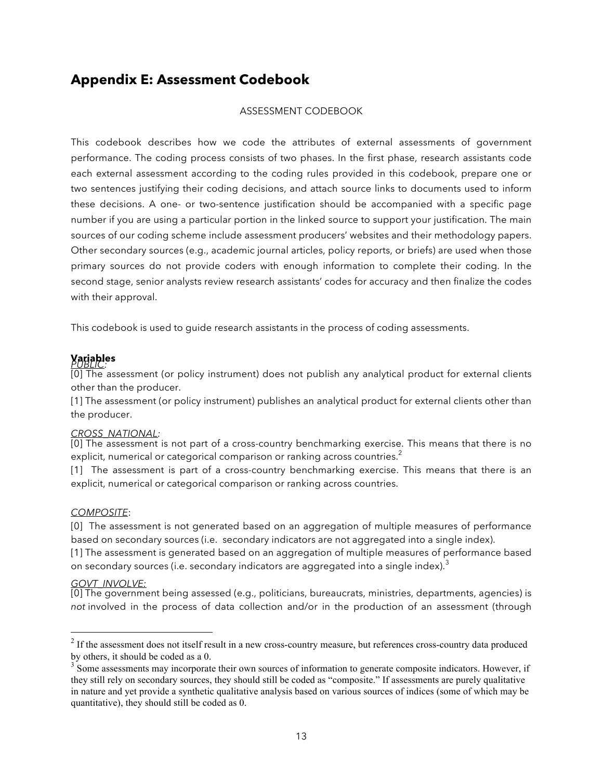## **Appendix E: Assessment Codebook**

#### ASSESSMENT CODEBOOK

This codebook describes how we code the attributes of external assessments of government performance. The coding process consists of two phases. In the first phase, research assistants code each external assessment according to the coding rules provided in this codebook, prepare one or two sentences justifying their coding decisions, and attach source links to documents used to inform these decisions. A one- or two-sentence justification should be accompanied with a specific page number if you are using a particular portion in the linked source to support your justification. The main sources of our coding scheme include assessment producers' websites and their methodology papers. Other secondary sources (e.g., academic journal articles, policy reports, or briefs) are used when those primary sources do not provide coders with enough information to complete their coding. In the second stage, senior analysts review research assistants' codes for accuracy and then finalize the codes with their approval.

This codebook is used to guide research assistants in the process of coding assessments.

#### **Variables** *PUBLIC:*

[0] The assessment (or policy instrument) does not publish any analytical product for external clients other than the producer.

[1] The assessment (or policy instrument) publishes an analytical product for external clients other than the producer.

#### *CROSS\_NATIONAL:*

[0] The assessment is not part of a cross-country benchmarking exercise. This means that there is no explicit, numerical or categorical comparison or ranking across countries.<sup>2</sup>

[1] The assessment is part of a cross-country benchmarking exercise. This means that there is an explicit, numerical or categorical comparison or ranking across countries.

#### *COMPOSITE*:

[0] The assessment is not generated based on an aggregation of multiple measures of performance based on secondary sources (i.e. secondary indicators are not aggregated into a single index).

[1] The assessment is generated based on an aggregation of multiple measures of performance based on secondary sources (i.e. secondary indicators are aggregated into a single index).<sup>3</sup>

#### *GOVT\_INVOLVE:*

[0] The government being assessed (e.g., politicians, bureaucrats, ministries, departments, agencies) is *not* involved in the process of data collection and/or in the production of an assessment (through

<sup>&</sup>lt;sup>2</sup> If the assessment does not itself result in a new cross-country measure, but references cross-country data produced by others, it should be coded as a 0.

 $3$  Some assessments may incorporate their own sources of information to generate composite indicators. However, if they still rely on secondary sources, they should still be coded as "composite." If assessments are purely qualitative in nature and yet provide a synthetic qualitative analysis based on various sources of indices (some of which may be quantitative), they should still be coded as 0.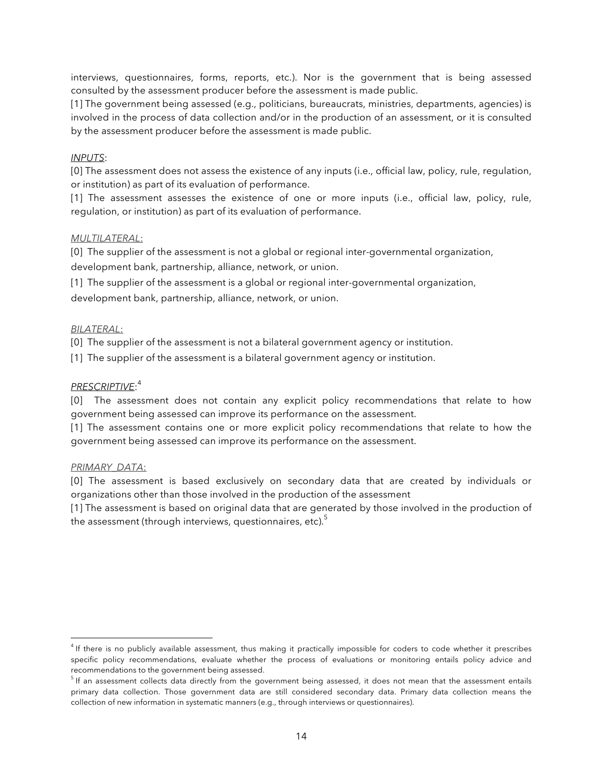interviews, questionnaires, forms, reports, etc.). Nor is the government that is being assessed consulted by the assessment producer before the assessment is made public.

[1] The government being assessed (e.g., politicians, bureaucrats, ministries, departments, agencies) is involved in the process of data collection and/or in the production of an assessment, or it is consulted by the assessment producer before the assessment is made public.

#### *INPUTS*:

[0] The assessment does not assess the existence of any inputs (i.e., official law, policy, rule, regulation, or institution) as part of its evaluation of performance.

[1] The assessment assesses the existence of one or more inputs (i.e., official law, policy, rule, regulation, or institution) as part of its evaluation of performance.

#### *MULTILATERAL*:

[0] The supplier of the assessment is not a global or regional inter-governmental organization, development bank, partnership, alliance, network, or union.

[1] The supplier of the assessment is a global or regional inter-governmental organization,

development bank, partnership, alliance, network, or union.

#### *BILATERAL*:

[0] The supplier of the assessment is not a bilateral government agency or institution.

[1] The supplier of the assessment is a bilateral government agency or institution.

#### *PRESCRIPTIVE*: 4

[0] The assessment does not contain any explicit policy recommendations that relate to how government being assessed can improve its performance on the assessment.

[1] The assessment contains one or more explicit policy recommendations that relate to how the government being assessed can improve its performance on the assessment.

#### *PRIMARY\_DATA*:

 $\overline{a}$ 

[0] The assessment is based exclusively on secondary data that are created by individuals or organizations other than those involved in the production of the assessment

[1] The assessment is based on original data that are generated by those involved in the production of the assessment (through interviews, questionnaires, etc). $5$ 

<sup>&</sup>lt;sup>4</sup> If there is no publicly available assessment, thus making it practically impossible for coders to code whether it prescribes specific policy recommendations, evaluate whether the process of evaluations or monitoring entails policy advice and recommendations to the government being assessed.

 $5$  If an assessment collects data directly from the government being assessed, it does not mean that the assessment entails primary data collection. Those government data are still considered secondary data. Primary data collection means the collection of new information in systematic manners (e.g., through interviews or questionnaires).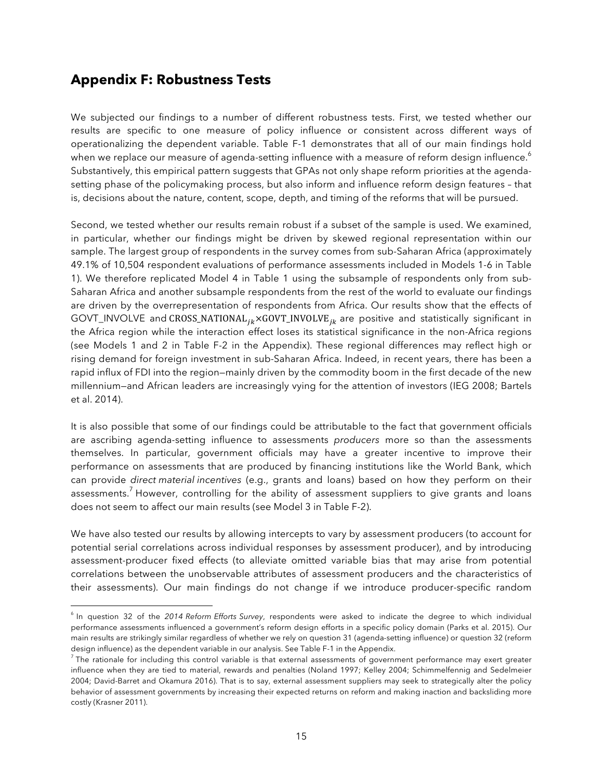## **Appendix F: Robustness Tests**

 $\overline{a}$ 

We subjected our findings to a number of different robustness tests. First, we tested whether our results are specific to one measure of policy influence or consistent across different ways of operationalizing the dependent variable. Table F-1 demonstrates that all of our main findings hold when we replace our measure of agenda-setting influence with a measure of reform design influence. $^6$ Substantively, this empirical pattern suggests that GPAs not only shape reform priorities at the agendasetting phase of the policymaking process, but also inform and influence reform design features – that is, decisions about the nature, content, scope, depth, and timing of the reforms that will be pursued.

Second, we tested whether our results remain robust if a subset of the sample is used. We examined, in particular, whether our findings might be driven by skewed regional representation within our sample. The largest group of respondents in the survey comes from sub-Saharan Africa (approximately 49.1% of 10,504 respondent evaluations of performance assessments included in Models 1-6 in Table 1). We therefore replicated Model 4 in Table 1 using the subsample of respondents only from sub-Saharan Africa and another subsample respondents from the rest of the world to evaluate our findings are driven by the overrepresentation of respondents from Africa. Our results show that the effects of GOVT\_INVOLVE and CROSS\_NATIONAL<sub>ik</sub> × GOVT\_INVOLVE<sub>ik</sub> are positive and statistically significant in the Africa region while the interaction effect loses its statistical significance in the non-Africa regions (see Models 1 and 2 in Table F-2 in the Appendix). These regional differences may reflect high or rising demand for foreign investment in sub-Saharan Africa. Indeed, in recent years, there has been a rapid influx of FDI into the region—mainly driven by the commodity boom in the first decade of the new millennium—and African leaders are increasingly vying for the attention of investors (IEG 2008; Bartels et al. 2014).

It is also possible that some of our findings could be attributable to the fact that government officials are ascribing agenda-setting influence to assessments *producers* more so than the assessments themselves. In particular, government officials may have a greater incentive to improve their performance on assessments that are produced by financing institutions like the World Bank, which can provide *direct material incentives* (e.g., grants and loans) based on how they perform on their assessments.<sup>7</sup> However, controlling for the ability of assessment suppliers to give grants and loans does not seem to affect our main results (see Model 3 in Table F-2).

We have also tested our results by allowing intercepts to vary by assessment producers (to account for potential serial correlations across individual responses by assessment producer), and by introducing assessment-producer fixed effects (to alleviate omitted variable bias that may arise from potential correlations between the unobservable attributes of assessment producers and the characteristics of their assessments). Our main findings do not change if we introduce producer-specific random

<sup>&</sup>lt;sup>6</sup> In question 32 of the 2014 Reform Efforts Survey, respondents were asked to indicate the degree to which individual performance assessments influenced a government's reform design efforts in a specific policy domain (Parks et al. 2015). Our main results are strikingly similar regardless of whether we rely on question 31 (agenda-setting influence) or question 32 (reform design influence) as the dependent variable in our analysis. See Table F-1 in the Appendix.

 $<sup>7</sup>$  The rationale for including this control variable is that external assessments of government performance may exert greater</sup> influence when they are tied to material, rewards and penalties (Noland 1997; Kelley 2004; Schimmelfennig and Sedelmeier 2004; David-Barret and Okamura 2016). That is to say, external assessment suppliers may seek to strategically alter the policy behavior of assessment governments by increasing their expected returns on reform and making inaction and backsliding more costly (Krasner 2011).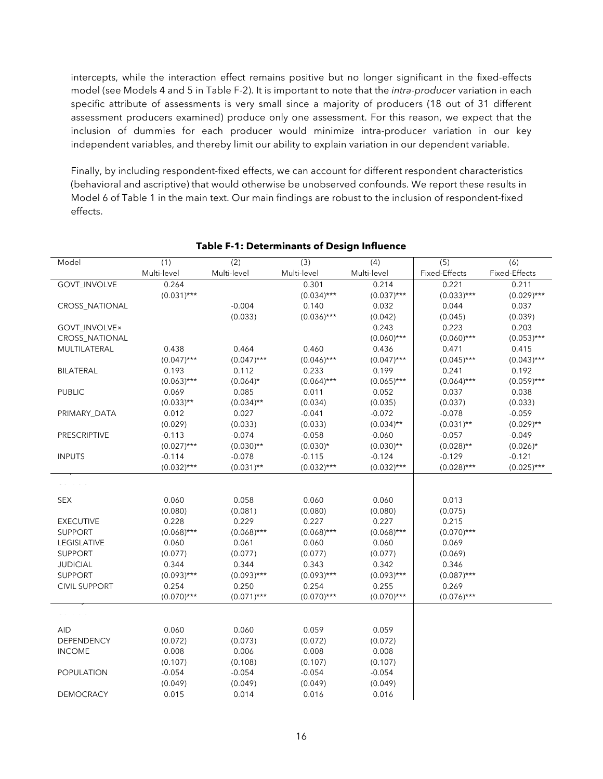intercepts, while the interaction effect remains positive but no longer significant in the fixed-effects model (see Models 4 and 5 in Table F-2). It is important to note that the *intra-producer* variation in each specific attribute of assessments is very small since a majority of producers (18 out of 31 different assessment producers examined) produce only one assessment. For this reason, we expect that the inclusion of dummies for each producer would minimize intra-producer variation in our key independent variables, and thereby limit our ability to explain variation in our dependent variable.

Finally, by including respondent-fixed effects, we can account for different respondent characteristics (behavioral and ascriptive) that would otherwise be unobserved confounds. We report these results in Model 6 of Table 1 in the main text. Our main findings are robust to the inclusion of respondent-fixed effects.

|                      |                    | $\overline{(2)}$ |                    |               | $\overline{(5)}$ |                      |
|----------------------|--------------------|------------------|--------------------|---------------|------------------|----------------------|
| Model                | (1)<br>Multi-level | Multi-level      | (3)<br>Multi-level | (4)           | Fixed-Effects    | (6)<br>Fixed-Effects |
|                      |                    |                  |                    | Multi-level   |                  |                      |
| GOVT_INVOLVE         | 0.264              |                  | 0.301              | 0.214         | 0.221            | 0.211                |
|                      | $(0.031)***$       |                  | $(0.034)***$       | $(0.037)$ *** | $(0.033)***$     | $(0.029)$ ***        |
| CROSS_NATIONAL       |                    | $-0.004$         | 0.140              | 0.032         | 0.044            | 0.037                |
|                      |                    | (0.033)          | $(0.036)***$       | (0.042)       | (0.045)          | (0.039)              |
| GOVT_INVOLVE×        |                    |                  |                    | 0.243         | 0.223            | 0.203                |
| CROSS_NATIONAL       |                    |                  |                    | $(0.060)$ *** | $(0.060)$ ***    | $(0.053)***$         |
| MULTILATERAL         | 0.438              | 0.464            | 0.460              | 0.436         | 0.471            | 0.415                |
|                      | $(0.047)$ ***      | $(0.047)$ ***    | $(0.046)$ ***      | $(0.047)$ *** | $(0.045)$ ***    | $(0.043)***$         |
| <b>BILATERAL</b>     | 0.193              | 0.112            | 0.233              | 0.199         | 0.241            | 0.192                |
|                      | $(0.063)***$       | $(0.064)$ *      | $(0.064)***$       | $(0.065)***$  | $(0.064)***$     | $(0.059)***$         |
| <b>PUBLIC</b>        | 0.069              | 0.085            | 0.011              | 0.052         | 0.037            | 0.038                |
|                      | $(0.033)$ **       | $(0.034)$ **     | (0.034)            | (0.035)       | (0.037)          | (0.033)              |
| PRIMARY_DATA         | 0.012              | 0.027            | $-0.041$           | $-0.072$      | $-0.078$         | $-0.059$             |
|                      | (0.029)            | (0.033)          | (0.033)            | $(0.034)$ **  | $(0.031)$ **     | $(0.029)$ **         |
| PRESCRIPTIVE         | $-0.113$           | $-0.074$         | $-0.058$           | $-0.060$      | $-0.057$         | $-0.049$             |
|                      | $(0.027)$ ***      | $(0.030)$ **     | $(0.030)*$         | $(0.030)$ **  | $(0.028)$ **     | $(0.026)$ *          |
| <b>INPUTS</b>        | $-0.114$           | $-0.078$         | $-0.115$           | $-0.124$      | $-0.129$         | $-0.121$             |
|                      | $(0.032)***$       | $(0.031)$ **     | $(0.032)***$       | $(0.032)***$  | $(0.028)***$     | $(0.025)***$         |
|                      |                    |                  |                    |               |                  |                      |
|                      |                    |                  |                    |               |                  |                      |
| <b>SEX</b>           | 0.060              | 0.058            | 0.060              | 0.060         | 0.013            |                      |
|                      | (0.080)            | (0.081)          | (0.080)            | (0.080)       | (0.075)          |                      |
| <b>EXECUTIVE</b>     | 0.228              | 0.229            | 0.227              | 0.227         | 0.215            |                      |
| <b>SUPPORT</b>       | $(0.068)***$       | $(0.068)***$     | $(0.068)***$       | $(0.068)***$  | $(0.070)$ ***    |                      |
| LEGISLATIVE          | 0.060              | 0.061            | 0.060              | 0.060         | 0.069            |                      |
| <b>SUPPORT</b>       | (0.077)            | (0.077)          | (0.077)            | (0.077)       | (0.069)          |                      |
| <b>JUDICIAL</b>      | 0.344              | 0.344            | 0.343              | 0.342         | 0.346            |                      |
| <b>SUPPORT</b>       | $(0.093)***$       | $(0.093)***$     | $(0.093)***$       | $(0.093)***$  | $(0.087)$ ***    |                      |
| <b>CIVIL SUPPORT</b> | 0.254              | 0.250            | 0.254              | 0.255         | 0.269            |                      |
|                      | $(0.070)$ ***      | $(0.071)$ ***    | $(0.070)$ ***      | $(0.070)***$  | $(0.076)$ ***    |                      |
|                      |                    |                  |                    |               |                  |                      |
|                      |                    |                  |                    |               |                  |                      |
| <b>AID</b>           | 0.060              | 0.060            | 0.059              | 0.059         |                  |                      |
| DEPENDENCY           | (0.072)            | (0.073)          | (0.072)            | (0.072)       |                  |                      |
| <b>INCOME</b>        | 0.008              | 0.006            | 0.008              | 0.008         |                  |                      |
|                      | (0.107)            | (0.108)          | (0.107)            | (0.107)       |                  |                      |
| <b>POPULATION</b>    | $-0.054$           | $-0.054$         | $-0.054$           | $-0.054$      |                  |                      |
|                      | (0.049)            | (0.049)          | (0.049)            | (0.049)       |                  |                      |
| <b>DEMOCRACY</b>     | 0.015              | 0.014            | 0.016              | 0.016         |                  |                      |

#### **Table F-1: Determinants of Design Influence**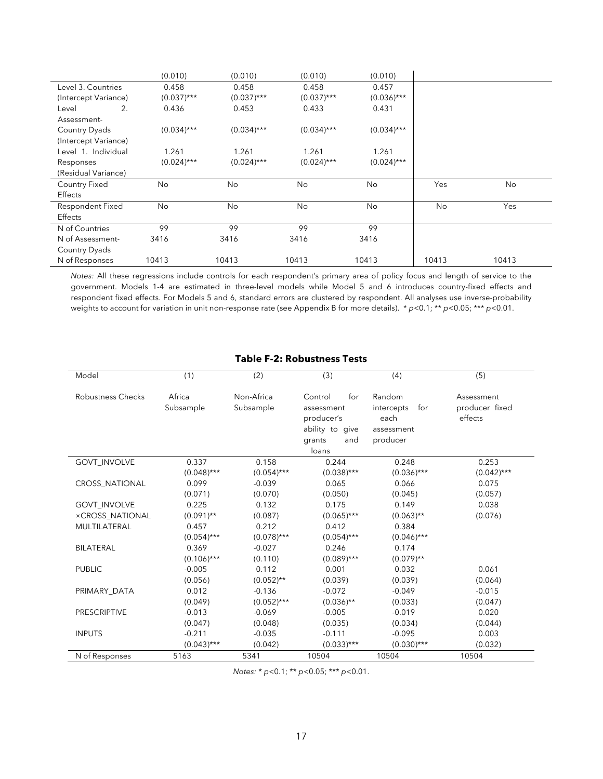|                         | (0.010)       | (0.010)       | (0.010)       | (0.010)       |           |       |
|-------------------------|---------------|---------------|---------------|---------------|-----------|-------|
| Level 3. Countries      | 0.458         | 0.458         | 0.458         | 0.457         |           |       |
| (Intercept Variance)    | $(0.037)$ *** | $(0.037)$ *** | $(0.037)$ *** | $(0.036)$ *** |           |       |
| 2.<br>Level             | 0.436         | 0.453         | 0.433         | 0.431         |           |       |
| Assessment-             |               |               |               |               |           |       |
| Country Dyads           | $(0.034)***$  | $(0.034)$ *** | $(0.034)***$  | $(0.034)***$  |           |       |
| (Intercept Variance)    |               |               |               |               |           |       |
| Level 1. Individual     | 1.261         | 1.261         | 1.261         | 1.261         |           |       |
| Responses               | $(0.024)***$  | $(0.024)$ *** | $(0.024)***$  | $(0.024)***$  |           |       |
| (Residual Variance)     |               |               |               |               |           |       |
| <b>Country Fixed</b>    | No            | No            | No            | No            | Yes       | No    |
| Effects                 |               |               |               |               |           |       |
| <b>Respondent Fixed</b> | <b>No</b>     | <b>No</b>     | <b>No</b>     | <b>No</b>     | <b>No</b> | Yes   |
| Effects                 |               |               |               |               |           |       |
| N of Countries          | 99            | 99            | 99            | 99            |           |       |
| N of Assessment-        | 3416          | 3416          | 3416          | 3416          |           |       |
| Country Dyads           |               |               |               |               |           |       |
| N of Responses          | 10413         | 10413         | 10413         | 10413         | 10413     | 10413 |

*Notes:* All these regressions include controls for each respondent's primary area of policy focus and length of service to the government. Models 1-4 are estimated in three-level models while Model 5 and 6 introduces country-fixed effects and respondent fixed effects. For Models 5 and 6, standard errors are clustered by respondent. All analyses use inverse-probability weights to account for variation in unit non-response rate (see Appendix B for more details). \* *p*<0.1; \*\* *p*<0.05; \*\*\* *p*<0.01.

#### **Table F-2: Robustness Tests**

| Model                    | (1)                 | (2)                     | (3)                                                                                     | (4)                                                           | (5)                                     |
|--------------------------|---------------------|-------------------------|-----------------------------------------------------------------------------------------|---------------------------------------------------------------|-----------------------------------------|
| <b>Robustness Checks</b> | Africa<br>Subsample | Non-Africa<br>Subsample | Control<br>for<br>assessment<br>producer's<br>ability to give<br>and<br>grants<br>loans | Random<br>intercepts<br>for<br>each<br>assessment<br>producer | Assessment<br>producer fixed<br>effects |
| GOVT_INVOLVE             | 0.337               | 0.158                   | 0.244                                                                                   | 0.248                                                         | 0.253                                   |
|                          | $(0.048)$ ***       | $(0.054)$ ***           | $(0.038)$ ***                                                                           | $(0.036)***$                                                  | $(0.042)$ ***                           |
| <b>CROSS NATIONAL</b>    | 0.099               | $-0.039$                | 0.065                                                                                   | 0.066                                                         | 0.075                                   |
|                          | (0.071)             | (0.070)                 | (0.050)                                                                                 | (0.045)                                                       | (0.057)                                 |
| <b>GOVT INVOLVE</b>      | 0.225               | 0.132                   | 0.175                                                                                   | 0.149                                                         | 0.038                                   |
| <b>×CROSS NATIONAL</b>   | $(0.091)$ **        | (0.087)                 | $(0.065)***$                                                                            | $(0.063)$ **                                                  | (0.076)                                 |
| MULTILATERAL             | 0.457               | 0.212                   | 0.412                                                                                   | 0.384                                                         |                                         |
|                          | $(0.054)$ ***       | $(0.078)$ ***           | $(0.054)***$                                                                            | $(0.046)$ ***                                                 |                                         |
| <b>BILATERAL</b>         | 0.369               | $-0.027$                | 0.246                                                                                   | 0.174                                                         |                                         |
|                          | $(0.106)$ ***       | (0.110)                 | $(0.089)$ ***                                                                           | $(0.079)$ **                                                  |                                         |
| <b>PUBLIC</b>            | $-0.005$            | 0.112                   | 0.001                                                                                   | 0.032                                                         | 0.061                                   |
|                          | (0.056)             | $(0.052)$ **            | (0.039)                                                                                 | (0.039)                                                       | (0.064)                                 |
| PRIMARY DATA             | 0.012               | $-0.136$                | $-0.072$                                                                                | $-0.049$                                                      | $-0.015$                                |
|                          | (0.049)             | $(0.052)***$            | $(0.036)$ **                                                                            | (0.033)                                                       | (0.047)                                 |
| <b>PRESCRIPTIVE</b>      | $-0.013$            | $-0.069$                | $-0.005$                                                                                | $-0.019$                                                      | 0.020                                   |
|                          | (0.047)             | (0.048)                 | (0.035)                                                                                 | (0.034)                                                       | (0.044)                                 |
| <b>INPUTS</b>            | $-0.211$            | $-0.035$                | $-0.111$                                                                                | $-0.095$                                                      | 0.003                                   |
|                          | $(0.043)$ ***       | (0.042)                 | $(0.033)$ ***                                                                           | $(0.030)$ ***                                                 | (0.032)                                 |
| N of Responses           | 5163                | 5341                    | 10504                                                                                   | 10504                                                         | 10504                                   |

*Notes:* \* *p*<0.1; \*\* *p*<0.05; \*\*\* *p*<0.01.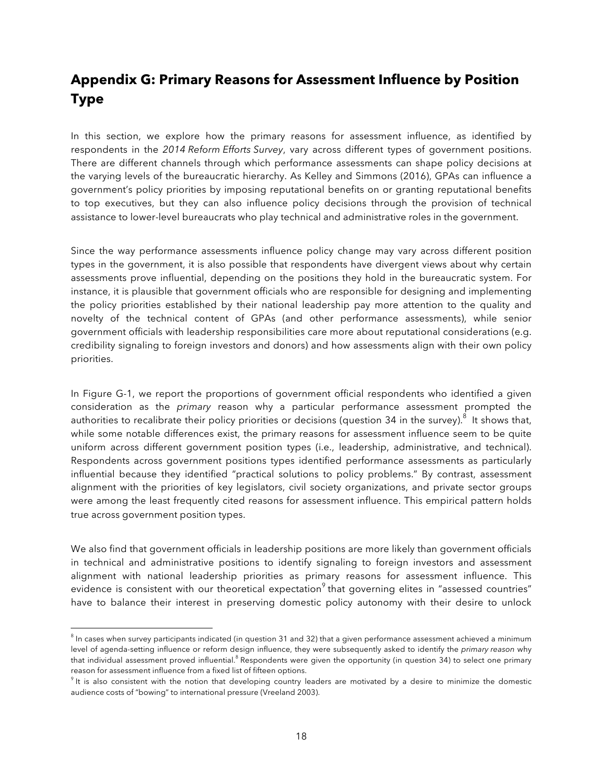# **Appendix G: Primary Reasons for Assessment Influence by Position Type**

In this section, we explore how the primary reasons for assessment influence, as identified by respondents in the *2014 Reform Efforts Survey*, vary across different types of government positions. There are different channels through which performance assessments can shape policy decisions at the varying levels of the bureaucratic hierarchy. As Kelley and Simmons (2016), GPAs can influence a government's policy priorities by imposing reputational benefits on or granting reputational benefits to top executives, but they can also influence policy decisions through the provision of technical assistance to lower-level bureaucrats who play technical and administrative roles in the government.

Since the way performance assessments influence policy change may vary across different position types in the government, it is also possible that respondents have divergent views about why certain assessments prove influential, depending on the positions they hold in the bureaucratic system. For instance, it is plausible that government officials who are responsible for designing and implementing the policy priorities established by their national leadership pay more attention to the quality and novelty of the technical content of GPAs (and other performance assessments), while senior government officials with leadership responsibilities care more about reputational considerations (e.g. credibility signaling to foreign investors and donors) and how assessments align with their own policy priorities.

In Figure G-1, we report the proportions of government official respondents who identified a given consideration as the *primary* reason why a particular performance assessment prompted the authorities to recalibrate their policy priorities or decisions (question 34 in the survey). $^8$  It shows that, while some notable differences exist, the primary reasons for assessment influence seem to be quite uniform across different government position types (i.e., leadership, administrative, and technical). Respondents across government positions types identified performance assessments as particularly influential because they identified "practical solutions to policy problems." By contrast, assessment alignment with the priorities of key legislators, civil society organizations, and private sector groups were among the least frequently cited reasons for assessment influence. This empirical pattern holds true across government position types.

We also find that government officials in leadership positions are more likely than government officials in technical and administrative positions to identify signaling to foreign investors and assessment alignment with national leadership priorities as primary reasons for assessment influence. This evidence is consistent with our theoretical expectation<sup>9</sup> that governing elites in "assessed countries" have to balance their interest in preserving domestic policy autonomy with their desire to unlock

 $\overline{a}$ 

 $8$  In cases when survey participants indicated (in question 31 and 32) that a given performance assessment achieved a minimum level of agenda-setting influence or reform design influence, they were subsequently asked to identify the *primary reason* why that individual assessment proved influential.<sup>8</sup> Respondents were given the opportunity (in question 34) to select one primary reason for assessment influence from a fixed list of fifteen options.

 $9$  It is also consistent with the notion that developing country leaders are motivated by a desire to minimize the domestic audience costs of "bowing" to international pressure (Vreeland 2003).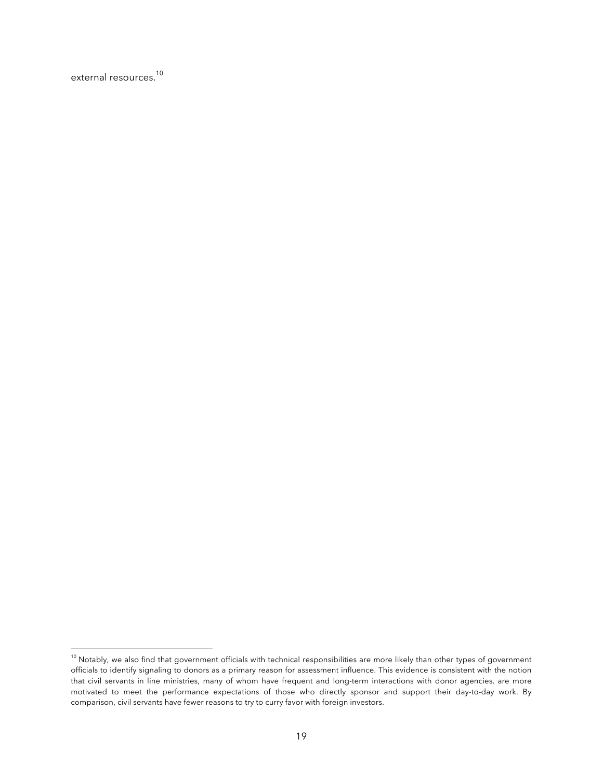external resources. 10

 $\overline{a}$ 

 $^{10}$  Notably, we also find that government officials with technical responsibilities are more likely than other types of government officials to identify signaling to donors as a primary reason for assessment influence. This evidence is consistent with the notion that civil servants in line ministries, many of whom have frequent and long-term interactions with donor agencies, are more motivated to meet the performance expectations of those who directly sponsor and support their day-to-day work. By comparison, civil servants have fewer reasons to try to curry favor with foreign investors.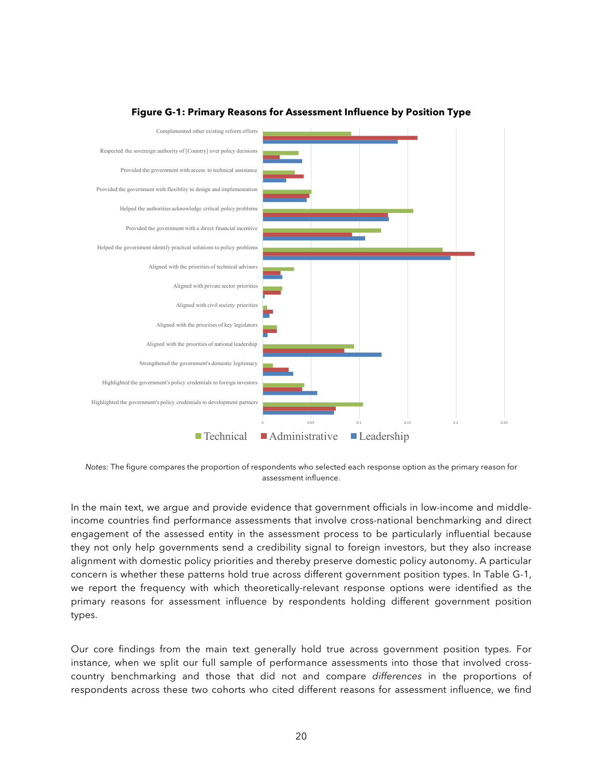

#### **Figure G-1: Primary Reasons for Assessment Influence by Position Type**

*Notes:* The figure compares the proportion of respondents who selected each response option as the primary reason for assessment influence.

In the main text, we argue and provide evidence that government officials in low-income and middleincome countries find performance assessments that involve cross-national benchmarking and direct engagement of the assessed entity in the assessment process to be particularly influential because they not only help governments send a credibility signal to foreign investors, but they also increase alignment with domestic policy priorities and thereby preserve domestic policy autonomy. A particular concern is whether these patterns hold true across different government position types. In Table G-1, we report the frequency with which theoretically-relevant response options were identified as the primary reasons for assessment influence by respondents holding different government position types.

Our core findings from the main text generally hold true across government position types. For instance, when we split our full sample of performance assessments into those that involved crosscountry benchmarking and those that did not and compare *differences* in the proportions of respondents across these two cohorts who cited different reasons for assessment influence, we find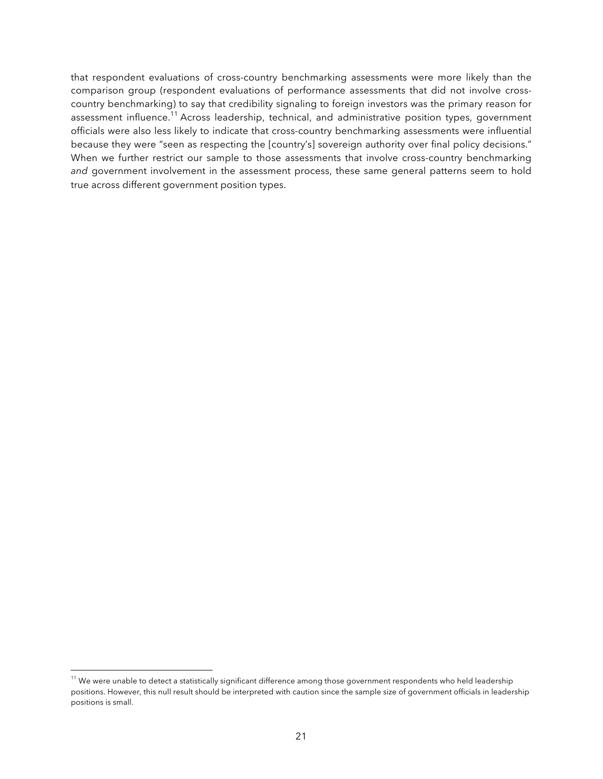that respondent evaluations of cross-country benchmarking assessments were more likely than the comparison group (respondent evaluations of performance assessments that did not involve crosscountry benchmarking) to say that credibility signaling to foreign investors was the primary reason for assessment influence.<sup>11</sup> Across leadership, technical, and administrative position types, government officials were also less likely to indicate that cross-country benchmarking assessments were influential because they were "seen as respecting the [country's] sovereign authority over final policy decisions." When we further restrict our sample to those assessments that involve cross-country benchmarking *and* government involvement in the assessment process, these same general patterns seem to hold true across different government position types.

 $\overline{a}$ 

 $^{\rm 11}$  We were unable to detect a statistically significant difference among those government respondents who held leadership positions. However, this null result should be interpreted with caution since the sample size of government officials in leadership positions is small.